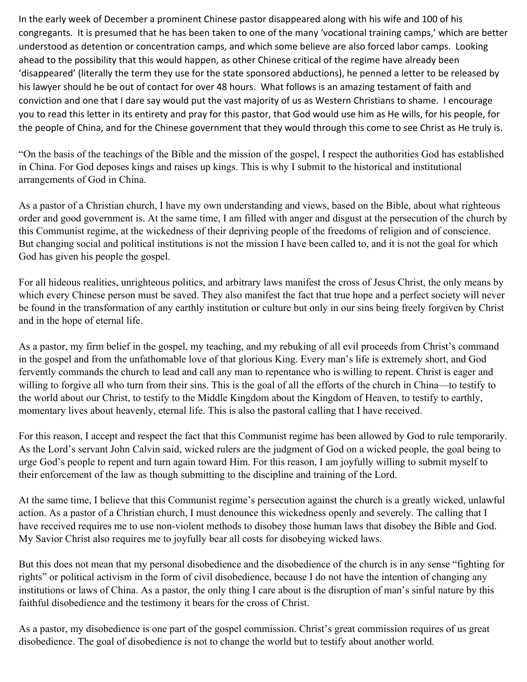In the early week of December a prominent Chinese pastor disappeared along with his wife and 100 of his congregants. It is presumed that he has been taken to one of the many 'vocational training camps,' which are better understood as detention or concentration camps, and which some believe are also forced labor camps. Looking ahead to the possibility that this would happen, as other Chinese critical of the regime have already been 'disappeared' (literally the term they use for the state sponsored abductions), he penned a letter to be released by his lawyer should he be out of contact for over 48 hours. What follows is an amazing testament of faith and conviction and one that I dare say would put the vast majority of us as Western Christians to shame. I encourage you to read this letter in its entirety and pray for this pastor, that God would use him as He wills, for his people, for the people of China, and for the Chinese government that they would through this come to see Christ as He truly is.

"On the basis of the teachings of the Bible and the mission of the gospel, I respect the authorities God has established in China. For God deposes kings and raises up kings. This is why I submit to the historical and institutional arrangements of God in China.

As a pastor of a Christian church, I have my own understanding and views, based on the Bible, about what righteous order and good government is. At the same time, I am filled with anger and disgust at the persecution of the church by this Communist regime, at the wickedness of their depriving people of the freedoms of religion and of conscience. But changing social and political institutions is not the mission I have been called to, and it is not the goal for which God has given his people the gospel.

For all hideous realities, unrighteous politics, and arbitrary laws manifest the cross of Jesus Christ, the only means by which every Chinese person must be saved. They also manifest the fact that true hope and a perfect society will never be found in the transformation of any earthly institution or culture but only in our sins being freely forgiven by Christ and in the hope of eternal life.

As a pastor, my firm belief in the gospel, my teaching, and my rebuking of all evil proceeds from Christ's command in the gospel and from the unfathomable love of that glorious King. Every man's life is extremely short, and God fervently commands the church to lead and call any man to repentance who is willing to repent. Christ is eager and willing to forgive all who turn from their sins. This is the goal of all the efforts of the church in China—to testify to the world about our Christ, to testify to the Middle Kingdom about the Kingdom of Heaven, to testify to earthly, momentary lives about heavenly, eternal life. This is also the pastoral calling that I have received.

For this reason, I accept and respect the fact that this Communist regime has been allowed by God to rule temporarily. As the Lord's servant John Calvin said, wicked rulers are the judgment of God on a wicked people, the goal being to urge God's people to repent and turn again toward Him. For this reason, I am joyfully willing to submit myself to their enforcement of the law as though submitting to the discipline and training of the Lord.

At the same time, I believe that this Communist regime's persecution against the church is a greatly wicked, unlawful action. As a pastor of a Christian church, I must denounce this wickedness openly and severely. The calling that I have received requires me to use non-violent methods to disobey those human laws that disobey the Bible and God. My Savior Christ also requires me to joyfully bear all costs for disobeying wicked laws.

But this does not mean that my personal disobedience and the disobedience of the church is in any sense "fighting for rights" or political activism in the form of civil disobedience, because I do not have the intention of changing any institutions or laws of China. As a pastor, the only thing I care about is the disruption of man's sinful nature by this faithful disobedience and the testimony it bears for the cross of Christ.

As a pastor, my disobedience is one part of the gospel commission. Christ's great commission requires of us great disobedience. The goal of disobedience is not to change the world but to testify about another world.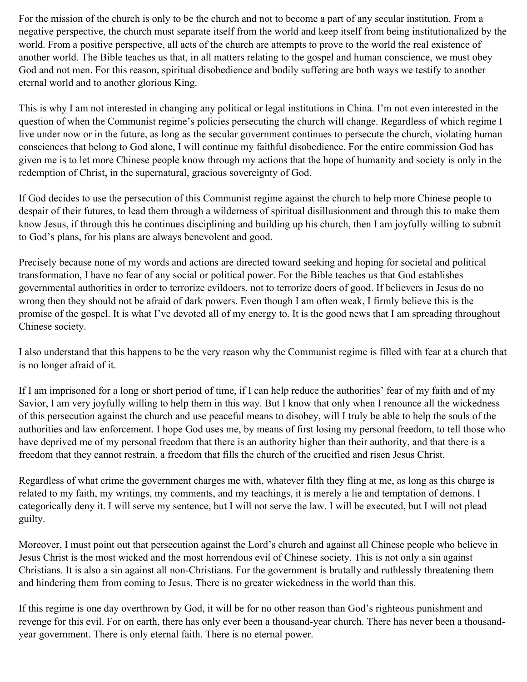For the mission of the church is only to be the church and not to become a part of any secular institution. From a negative perspective, the church must separate itself from the world and keep itself from being institutionalized by the world. From a positive perspective, all acts of the church are attempts to prove to the world the real existence of another world. The Bible teaches us that, in all matters relating to the gospel and human conscience, we must obey God and not men. For this reason, spiritual disobedience and bodily suffering are both ways we testify to another eternal world and to another glorious King.

This is why I am not interested in changing any political or legal institutions in China. I'm not even interested in the question of when the Communist regime's policies persecuting the church will change. Regardless of which regime I live under now or in the future, as long as the secular government continues to persecute the church, violating human consciences that belong to God alone, I will continue my faithful disobedience. For the entire commission God has given me is to let more Chinese people know through my actions that the hope of humanity and society is only in the redemption of Christ, in the supernatural, gracious sovereignty of God.

If God decides to use the persecution of this Communist regime against the church to help more Chinese people to despair of their futures, to lead them through a wilderness of spiritual disillusionment and through this to make them know Jesus, if through this he continues disciplining and building up his church, then I am joyfully willing to submit to God's plans, for his plans are always benevolent and good.

Precisely because none of my words and actions are directed toward seeking and hoping for societal and political transformation, I have no fear of any social or political power. For the Bible teaches us that God establishes governmental authorities in order to terrorize evildoers, not to terrorize doers of good. If believers in Jesus do no wrong then they should not be afraid of dark powers. Even though I am often weak, I firmly believe this is the promise of the gospel. It is what I've devoted all of my energy to. It is the good news that I am spreading throughout Chinese society.

I also understand that this happens to be the very reason why the Communist regime is filled with fear at a church that is no longer afraid of it.

If I am imprisoned for a long or short period of time, if I can help reduce the authorities' fear of my faith and of my Savior, I am very joyfully willing to help them in this way. But I know that only when I renounce all the wickedness of this persecution against the church and use peaceful means to disobey, will I truly be able to help the souls of the authorities and law enforcement. I hope God uses me, by means of first losing my personal freedom, to tell those who have deprived me of my personal freedom that there is an authority higher than their authority, and that there is a freedom that they cannot restrain, a freedom that fills the church of the crucified and risen Jesus Christ.

Regardless of what crime the government charges me with, whatever filth they fling at me, as long as this charge is related to my faith, my writings, my comments, and my teachings, it is merely a lie and temptation of demons. I categorically deny it. I will serve my sentence, but I will not serve the law. I will be executed, but I will not plead guilty.

Moreover, I must point out that persecution against the Lord's church and against all Chinese people who believe in Jesus Christ is the most wicked and the most horrendous evil of Chinese society. This is not only a sin against Christians. It is also a sin against all non-Christians. For the government is brutally and ruthlessly threatening them and hindering them from coming to Jesus. There is no greater wickedness in the world than this.

If this regime is one day overthrown by God, it will be for no other reason than God's righteous punishment and revenge for this evil. For on earth, there has only ever been a thousand-year church. There has never been a thousandyear government. There is only eternal faith. There is no eternal power.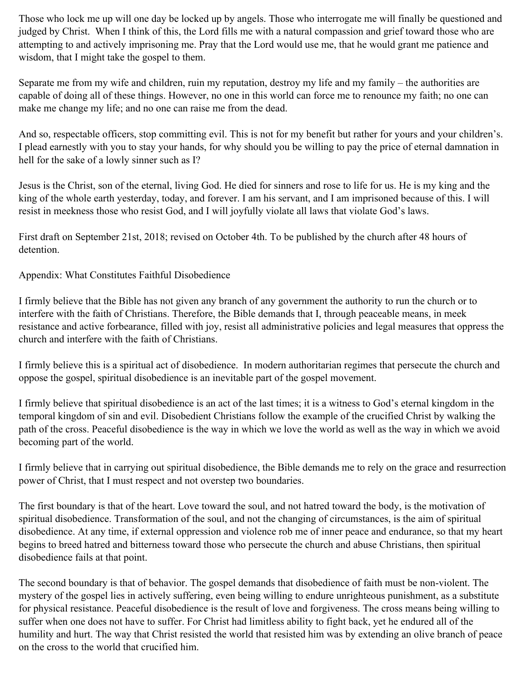Those who lock me up will one day be locked up by angels. Those who interrogate me will finally be questioned and judged by Christ. When I think of this, the Lord fills me with a natural compassion and grief toward those who are attempting to and actively imprisoning me. Pray that the Lord would use me, that he would grant me patience and wisdom, that I might take the gospel to them.

Separate me from my wife and children, ruin my reputation, destroy my life and my family – the authorities are capable of doing all of these things. However, no one in this world can force me to renounce my faith; no one can make me change my life; and no one can raise me from the dead.

And so, respectable officers, stop committing evil. This is not for my benefit but rather for yours and your children's. I plead earnestly with you to stay your hands, for why should you be willing to pay the price of eternal damnation in hell for the sake of a lowly sinner such as I?

Jesus is the Christ, son of the eternal, living God. He died for sinners and rose to life for us. He is my king and the king of the whole earth yesterday, today, and forever. I am his servant, and I am imprisoned because of this. I will resist in meekness those who resist God, and I will joyfully violate all laws that violate God's laws.

First draft on September 21st, 2018; revised on October 4th. To be published by the church after 48 hours of detention.

Appendix: What Constitutes Faithful Disobedience

I firmly believe that the Bible has not given any branch of any government the authority to run the church or to interfere with the faith of Christians. Therefore, the Bible demands that I, through peaceable means, in meek resistance and active forbearance, filled with joy, resist all administrative policies and legal measures that oppress the church and interfere with the faith of Christians.

I firmly believe this is a spiritual act of disobedience. In modern authoritarian regimes that persecute the church and oppose the gospel, spiritual disobedience is an inevitable part of the gospel movement.

I firmly believe that spiritual disobedience is an act of the last times; it is a witness to God's eternal kingdom in the temporal kingdom of sin and evil. Disobedient Christians follow the example of the crucified Christ by walking the path of the cross. Peaceful disobedience is the way in which we love the world as well as the way in which we avoid becoming part of the world.

I firmly believe that in carrying out spiritual disobedience, the Bible demands me to rely on the grace and resurrection power of Christ, that I must respect and not overstep two boundaries.

The first boundary is that of the heart. Love toward the soul, and not hatred toward the body, is the motivation of spiritual disobedience. Transformation of the soul, and not the changing of circumstances, is the aim of spiritual disobedience. At any time, if external oppression and violence rob me of inner peace and endurance, so that my heart begins to breed hatred and bitterness toward those who persecute the church and abuse Christians, then spiritual disobedience fails at that point.

The second boundary is that of behavior. The gospel demands that disobedience of faith must be non-violent. The mystery of the gospel lies in actively suffering, even being willing to endure unrighteous punishment, as a substitute for physical resistance. Peaceful disobedience is the result of love and forgiveness. The cross means being willing to suffer when one does not have to suffer. For Christ had limitless ability to fight back, yet he endured all of the humility and hurt. The way that Christ resisted the world that resisted him was by extending an olive branch of peace on the cross to the world that crucified him.